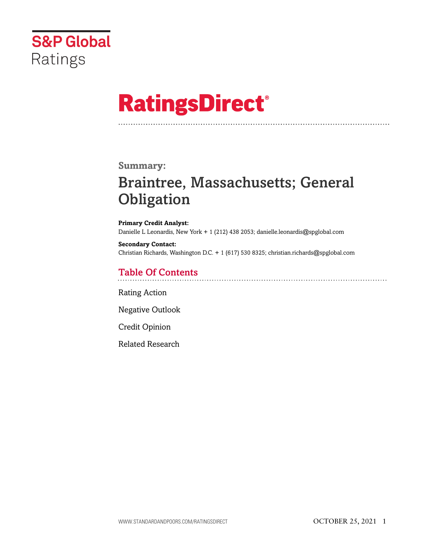

# **RatingsDirect®**

## **Summary:**

# Braintree, Massachusetts; General **Obligation**

**Primary Credit Analyst:** Danielle L Leonardis, New York + 1 (212) 438 2053; danielle.leonardis@spglobal.com

**Secondary Contact:** Christian Richards, Washington D.C. + 1 (617) 530 8325; christian.richards@spglobal.com

# Table Of Contents

[Rating Action](#page-1-0)

[Negative Outlook](#page-2-0)

[Credit Opinion](#page-2-1)

[Related Research](#page-6-0)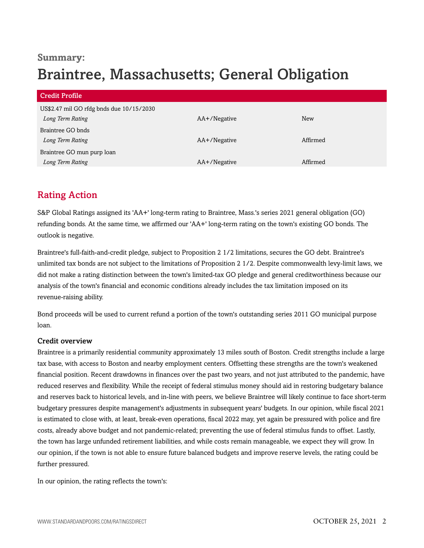# **Summary:** Braintree, Massachusetts; General Obligation

| <b>Credit Profile</b>                                        |              |          |
|--------------------------------------------------------------|--------------|----------|
| US\$2.47 mil GO rfdg bnds due 10/15/2030<br>Long Term Rating | AA+/Negative | New      |
| Braintree GO bnds<br>Long Term Rating                        | AA+/Negative | Affirmed |
| Braintree GO mun purp loan<br>Long Term Rating               | AA+/Negative | Affirmed |

# <span id="page-1-0"></span>Rating Action

S&P Global Ratings assigned its 'AA+' long-term rating to Braintree, Mass.'s series 2021 general obligation (GO) refunding bonds. At the same time, we affirmed our 'AA+' long-term rating on the town's existing GO bonds. The outlook is negative.

Braintree's full-faith-and-credit pledge, subject to Proposition 2 1/2 limitations, secures the GO debt. Braintree's unlimited tax bonds are not subject to the limitations of Proposition 2 1/2. Despite commonwealth levy-limit laws, we did not make a rating distinction between the town's limited-tax GO pledge and general creditworthiness because our analysis of the town's financial and economic conditions already includes the tax limitation imposed on its revenue-raising ability.

Bond proceeds will be used to current refund a portion of the town's outstanding series 2011 GO municipal purpose loan.

#### Credit overview

Braintree is a primarily residential community approximately 13 miles south of Boston. Credit strengths include a large tax base, with access to Boston and nearby employment centers. Offsetting these strengths are the town's weakened financial position. Recent drawdowns in finances over the past two years, and not just attributed to the pandemic, have reduced reserves and flexibility. While the receipt of federal stimulus money should aid in restoring budgetary balance and reserves back to historical levels, and in-line with peers, we believe Braintree will likely continue to face short-term budgetary pressures despite management's adjustments in subsequent years' budgets. In our opinion, while fiscal 2021 is estimated to close with, at least, break-even operations, fiscal 2022 may, yet again be pressured with police and fire costs, already above budget and not pandemic-related; preventing the use of federal stimulus funds to offset. Lastly, the town has large unfunded retirement liabilities, and while costs remain manageable, we expect they will grow. In our opinion, if the town is not able to ensure future balanced budgets and improve reserve levels, the rating could be further pressured.

In our opinion, the rating reflects the town's: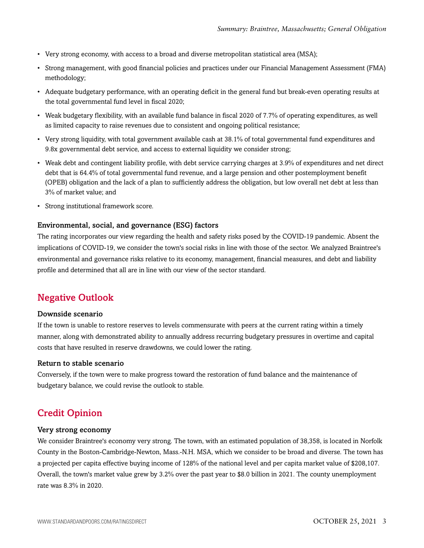- Very strong economy, with access to a broad and diverse metropolitan statistical area (MSA);
- Strong management, with good financial policies and practices under our Financial Management Assessment (FMA) methodology;
- Adequate budgetary performance, with an operating deficit in the general fund but break-even operating results at the total governmental fund level in fiscal 2020;
- Weak budgetary flexibility, with an available fund balance in fiscal 2020 of 7.7% of operating expenditures, as well as limited capacity to raise revenues due to consistent and ongoing political resistance;
- Very strong liquidity, with total government available cash at 38.1% of total governmental fund expenditures and 9.8x governmental debt service, and access to external liquidity we consider strong;
- Weak debt and contingent liability profile, with debt service carrying charges at 3.9% of expenditures and net direct debt that is 64.4% of total governmental fund revenue, and a large pension and other postemployment benefit (OPEB) obligation and the lack of a plan to sufficiently address the obligation, but low overall net debt at less than 3% of market value; and
- Strong institutional framework score.

#### Environmental, social, and governance (ESG) factors

The rating incorporates our view regarding the health and safety risks posed by the COVID-19 pandemic. Absent the implications of COVID-19, we consider the town's social risks in line with those of the sector. We analyzed Braintree's environmental and governance risks relative to its economy, management, financial measures, and debt and liability profile and determined that all are in line with our view of the sector standard.

#### <span id="page-2-0"></span>Negative Outlook

#### Downside scenario

If the town is unable to restore reserves to levels commensurate with peers at the current rating within a timely manner, along with demonstrated ability to annually address recurring budgetary pressures in overtime and capital costs that have resulted in reserve drawdowns, we could lower the rating.

#### Return to stable scenario

Conversely, if the town were to make progress toward the restoration of fund balance and the maintenance of budgetary balance, we could revise the outlook to stable.

## <span id="page-2-1"></span>Credit Opinion

#### Very strong economy

We consider Braintree's economy very strong. The town, with an estimated population of 38,358, is located in Norfolk County in the Boston-Cambridge-Newton, Mass.-N.H. MSA, which we consider to be broad and diverse. The town has a projected per capita effective buying income of 128% of the national level and per capita market value of \$208,107. Overall, the town's market value grew by 3.2% over the past year to \$8.0 billion in 2021. The county unemployment rate was 8.3% in 2020.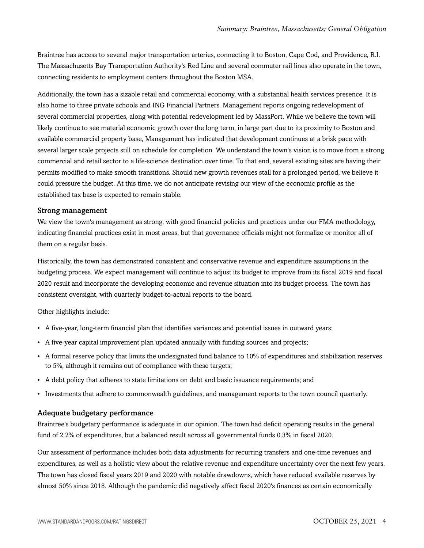Braintree has access to several major transportation arteries, connecting it to Boston, Cape Cod, and Providence, R.I. The Massachusetts Bay Transportation Authority's Red Line and several commuter rail lines also operate in the town, connecting residents to employment centers throughout the Boston MSA.

Additionally, the town has a sizable retail and commercial economy, with a substantial health services presence. It is also home to three private schools and ING Financial Partners. Management reports ongoing redevelopment of several commercial properties, along with potential redevelopment led by MassPort. While we believe the town will likely continue to see material economic growth over the long term, in large part due to its proximity to Boston and available commercial property base, Management has indicated that development continues at a brisk pace with several larger scale projects still on schedule for completion. We understand the town's vision is to move from a strong commercial and retail sector to a life-science destination over time. To that end, several existing sites are having their permits modified to make smooth transitions. Should new growth revenues stall for a prolonged period, we believe it could pressure the budget. At this time, we do not anticipate revising our view of the economic profile as the established tax base is expected to remain stable.

#### Strong management

We view the town's management as strong, with good financial policies and practices under our FMA methodology, indicating financial practices exist in most areas, but that governance officials might not formalize or monitor all of them on a regular basis.

Historically, the town has demonstrated consistent and conservative revenue and expenditure assumptions in the budgeting process. We expect management will continue to adjust its budget to improve from its fiscal 2019 and fiscal 2020 result and incorporate the developing economic and revenue situation into its budget process. The town has consistent oversight, with quarterly budget-to-actual reports to the board.

Other highlights include:

- A five-year, long-term financial plan that identifies variances and potential issues in outward years;
- A five-year capital improvement plan updated annually with funding sources and projects;
- A formal reserve policy that limits the undesignated fund balance to 10% of expenditures and stabilization reserves to 5%, although it remains out of compliance with these targets;
- A debt policy that adheres to state limitations on debt and basic issuance requirements; and
- Investments that adhere to commonwealth guidelines, and management reports to the town council quarterly.

#### Adequate budgetary performance

Braintree's budgetary performance is adequate in our opinion. The town had deficit operating results in the general fund of 2.2% of expenditures, but a balanced result across all governmental funds 0.3% in fiscal 2020.

Our assessment of performance includes both data adjustments for recurring transfers and one-time revenues and expenditures, as well as a holistic view about the relative revenue and expenditure uncertainty over the next few years. The town has closed fiscal years 2019 and 2020 with notable drawdowns, which have reduced available reserves by almost 50% since 2018. Although the pandemic did negatively affect fiscal 2020's finances as certain economically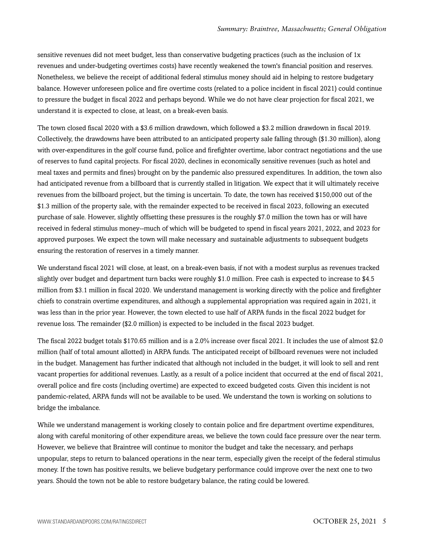sensitive revenues did not meet budget, less than conservative budgeting practices (such as the inclusion of 1x revenues and under-budgeting overtimes costs) have recently weakened the town's financial position and reserves. Nonetheless, we believe the receipt of additional federal stimulus money should aid in helping to restore budgetary balance. However unforeseen police and fire overtime costs (related to a police incident in fiscal 2021) could continue to pressure the budget in fiscal 2022 and perhaps beyond. While we do not have clear projection for fiscal 2021, we understand it is expected to close, at least, on a break-even basis.

The town closed fiscal 2020 with a \$3.6 million drawdown, which followed a \$3.2 million drawdown in fiscal 2019. Collectively, the drawdowns have been attributed to an anticipated property sale falling through (\$1.30 million), along with over-expenditures in the golf course fund, police and firefighter overtime, labor contract negotiations and the use of reserves to fund capital projects. For fiscal 2020, declines in economically sensitive revenues (such as hotel and meal taxes and permits and fines) brought on by the pandemic also pressured expenditures. In addition, the town also had anticipated revenue from a billboard that is currently stalled in litigation. We expect that it will ultimately receive revenues from the billboard project, but the timing is uncertain. To date, the town has received \$150,000 out of the \$1.3 million of the property sale, with the remainder expected to be received in fiscal 2023, following an executed purchase of sale. However, slightly offsetting these pressures is the roughly \$7.0 million the town has or will have received in federal stimulus money--much of which will be budgeted to spend in fiscal years 2021, 2022, and 2023 for approved purposes. We expect the town will make necessary and sustainable adjustments to subsequent budgets ensuring the restoration of reserves in a timely manner.

We understand fiscal 2021 will close, at least, on a break-even basis, if not with a modest surplus as revenues tracked slightly over budget and department turn backs were roughly \$1.0 million. Free cash is expected to increase to \$4.5 million from \$3.1 million in fiscal 2020. We understand management is working directly with the police and firefighter chiefs to constrain overtime expenditures, and although a supplemental appropriation was required again in 2021, it was less than in the prior year. However, the town elected to use half of ARPA funds in the fiscal 2022 budget for revenue loss. The remainder (\$2.0 million) is expected to be included in the fiscal 2023 budget.

The fiscal 2022 budget totals \$170.65 million and is a 2.0% increase over fiscal 2021. It includes the use of almost \$2.0 million (half of total amount allotted) in ARPA funds. The anticipated receipt of billboard revenues were not included in the budget. Management has further indicated that although not included in the budget, it will look to sell and rent vacant properties for additional revenues. Lastly, as a result of a police incident that occurred at the end of fiscal 2021, overall police and fire costs (including overtime) are expected to exceed budgeted costs. Given this incident is not pandemic-related, ARPA funds will not be available to be used. We understand the town is working on solutions to bridge the imbalance.

While we understand management is working closely to contain police and fire department overtime expenditures, along with careful monitoring of other expenditure areas, we believe the town could face pressure over the near term. However, we believe that Braintree will continue to monitor the budget and take the necessary, and perhaps unpopular, steps to return to balanced operations in the near term, especially given the receipt of the federal stimulus money. If the town has positive results, we believe budgetary performance could improve over the next one to two years. Should the town not be able to restore budgetary balance, the rating could be lowered.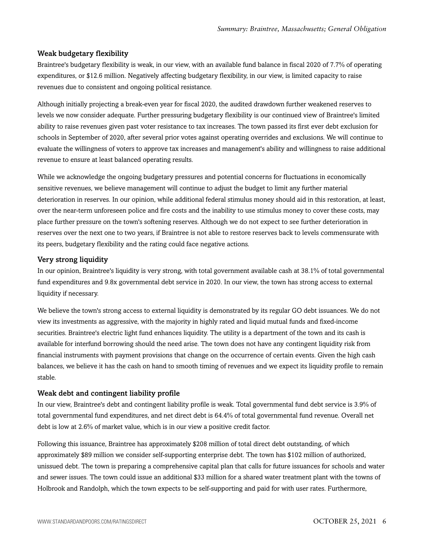#### Weak budgetary flexibility

Braintree's budgetary flexibility is weak, in our view, with an available fund balance in fiscal 2020 of 7.7% of operating expenditures, or \$12.6 million. Negatively affecting budgetary flexibility, in our view, is limited capacity to raise revenues due to consistent and ongoing political resistance.

Although initially projecting a break-even year for fiscal 2020, the audited drawdown further weakened reserves to levels we now consider adequate. Further pressuring budgetary flexibility is our continued view of Braintree's limited ability to raise revenues given past voter resistance to tax increases. The town passed its first ever debt exclusion for schools in September of 2020, after several prior votes against operating overrides and exclusions. We will continue to evaluate the willingness of voters to approve tax increases and management's ability and willingness to raise additional revenue to ensure at least balanced operating results.

While we acknowledge the ongoing budgetary pressures and potential concerns for fluctuations in economically sensitive revenues, we believe management will continue to adjust the budget to limit any further material deterioration in reserves. In our opinion, while additional federal stimulus money should aid in this restoration, at least, over the near-term unforeseen police and fire costs and the inability to use stimulus money to cover these costs, may place further pressure on the town's softening reserves. Although we do not expect to see further deterioration in reserves over the next one to two years, if Braintree is not able to restore reserves back to levels commensurate with its peers, budgetary flexibility and the rating could face negative actions.

#### Very strong liquidity

In our opinion, Braintree's liquidity is very strong, with total government available cash at 38.1% of total governmental fund expenditures and 9.8x governmental debt service in 2020. In our view, the town has strong access to external liquidity if necessary.

We believe the town's strong access to external liquidity is demonstrated by its regular GO debt issuances. We do not view its investments as aggressive, with the majority in highly rated and liquid mutual funds and fixed-income securities. Braintree's electric light fund enhances liquidity. The utility is a department of the town and its cash is available for interfund borrowing should the need arise. The town does not have any contingent liquidity risk from financial instruments with payment provisions that change on the occurrence of certain events. Given the high cash balances, we believe it has the cash on hand to smooth timing of revenues and we expect its liquidity profile to remain stable.

#### Weak debt and contingent liability profile

In our view, Braintree's debt and contingent liability profile is weak. Total governmental fund debt service is 3.9% of total governmental fund expenditures, and net direct debt is 64.4% of total governmental fund revenue. Overall net debt is low at 2.6% of market value, which is in our view a positive credit factor.

Following this issuance, Braintree has approximately \$208 million of total direct debt outstanding, of which approximately \$89 million we consider self-supporting enterprise debt. The town has \$102 million of authorized, unissued debt. The town is preparing a comprehensive capital plan that calls for future issuances for schools and water and sewer issues. The town could issue an additional \$33 million for a shared water treatment plant with the towns of Holbrook and Randolph, which the town expects to be self-supporting and paid for with user rates. Furthermore,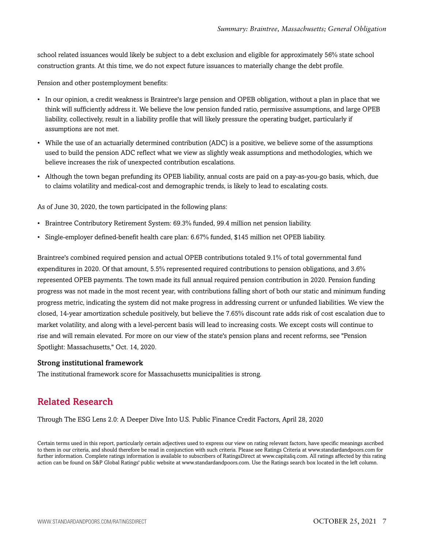school related issuances would likely be subject to a debt exclusion and eligible for approximately 56% state school construction grants. At this time, we do not expect future issuances to materially change the debt profile.

Pension and other postemployment benefits:

- In our opinion, a credit weakness is Braintree's large pension and OPEB obligation, without a plan in place that we think will sufficiently address it. We believe the low pension funded ratio, permissive assumptions, and large OPEB liability, collectively, result in a liability profile that will likely pressure the operating budget, particularly if assumptions are not met.
- While the use of an actuarially determined contribution (ADC) is a positive, we believe some of the assumptions used to build the pension ADC reflect what we view as slightly weak assumptions and methodologies, which we believe increases the risk of unexpected contribution escalations.
- Although the town began prefunding its OPEB liability, annual costs are paid on a pay-as-you-go basis, which, due to claims volatility and medical-cost and demographic trends, is likely to lead to escalating costs.

As of June 30, 2020, the town participated in the following plans:

- Braintree Contributory Retirement System: 69.3% funded, 99.4 million net pension liability.
- Single-employer defined-benefit health care plan: 6.67% funded, \$145 million net OPEB liability.

Braintree's combined required pension and actual OPEB contributions totaled 9.1% of total governmental fund expenditures in 2020. Of that amount, 5.5% represented required contributions to pension obligations, and 3.6% represented OPEB payments. The town made its full annual required pension contribution in 2020. Pension funding progress was not made in the most recent year, with contributions falling short of both our static and minimum funding progress metric, indicating the system did not make progress in addressing current or unfunded liabilities. We view the closed, 14-year amortization schedule positively, but believe the 7.65% discount rate adds risk of cost escalation due to market volatility, and along with a level-percent basis will lead to increasing costs. We except costs will continue to rise and will remain elevated. For more on our view of the state's pension plans and recent reforms, see "Pension Spotlight: Massachusetts," Oct. 14, 2020.

#### Strong institutional framework

<span id="page-6-0"></span>The institutional framework score for Massachusetts municipalities is strong.

## Related Research

Through The ESG Lens 2.0: A Deeper Dive Into U.S. Public Finance Credit Factors, April 28, 2020

Certain terms used in this report, particularly certain adjectives used to express our view on rating relevant factors, have specific meanings ascribed to them in our criteria, and should therefore be read in conjunction with such criteria. Please see Ratings Criteria at www.standardandpoors.com for further information. Complete ratings information is available to subscribers of RatingsDirect at www.capitaliq.com. All ratings affected by this rating action can be found on S&P Global Ratings' public website at www.standardandpoors.com. Use the Ratings search box located in the left column.